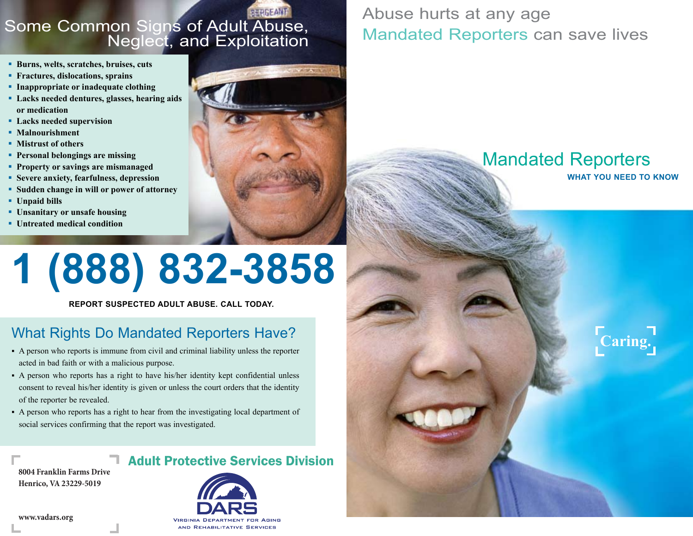### Some Common Signs of Adult Abuse, Neglect, and Exploitation

- **Burns, welts, scratches, bruises, cuts**
- **Fractures, dislocations, sprains**
- **Inappropriate or inadequate clothing**
- **Lacks needed dentures, glasses, hearing aids or medication**
- **Lacks needed supervision**
- **Malnourishment**
- **EXECUTE:** Mistrust of others
- **Personal belongings are missing**
- **Property or savings are mismanaged**
- **Example 3 Severe anxiety, fearfulness, depression**
- **Budden change in will or power of attorney**
- **Unpaid bills**
- **Unsanitary or unsafe housing**
- **Untreated medical condition**



### Abuse hurts at any age Mandated Reporters can save lives

## Mandated Reporters

**what you need to know**

**Caring.**

# **1 (888) 832-3858**

**report suspected adult abuse. call today.**

### What Rights Do Mandated Reporters Have?

- A person who reports is immune from civil and criminal liability unless the reporter acted in bad faith or with a malicious purpose.
- A person who reports has a right to have his/her identity kept confidential unless consent to reveal his/her identity is given or unless the court orders that the identity of the reporter be revealed.
- A person who reports has a right to hear from the investigating local department of social services confirming that the report was investigated.

8004 Franklin Farms Drive Richmond, VA 23219-2901 **Henrico, VA 23229-5019**

### Adult Protective Services Division



[www.vadars.org](http://www.vadars.org)

#### AND REHABILITATIVE SERVICES